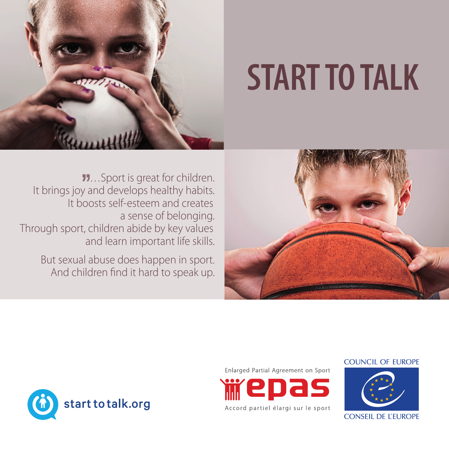

# **START TO TALK**

…Sport is great for children. It brings joy and develops healthy habits. It boosts self-esteem and creates a sense of belonging. Through sport, children abide by key values and learn important life skills.

> But sexual abuse does happen in sport. And children find it hard to speak up.









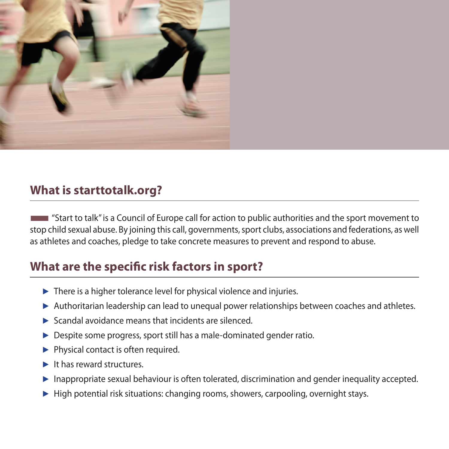

#### **What is starttotalk.org?**

■"Start to talk" is a Council of Europe call for action to public authorities and the sport movement to stop child sexual abuse. By joining this call, governments, sport clubs, associations and federations, as well as athletes and coaches, pledge to take concrete measures to prevent and respond to abuse.

#### **What are the specific risk factors in sport?**

- ► There is a higher tolerance level for physical violence and injuries.
- ► Authoritarian leadership can lead to unequal power relationships between coaches and athletes.
- $\blacktriangleright$  Scandal avoidance means that incidents are silenced.
- ► Despite some progress, sport still has a male-dominated gender ratio.
- ► Physical contact is often required.
- ► It has reward structures.
- ► Inappropriate sexual behaviour is often tolerated, discrimination and gender inequality accepted.
- ► High potential risk situations: changing rooms, showers, carpooling, overnight stays.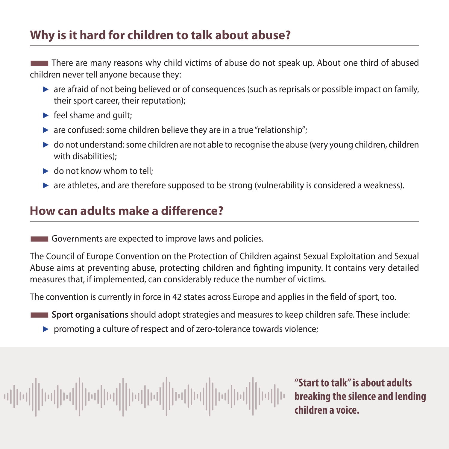### **Why is it hard for children to talk about abuse?**

There are many reasons why child victims of abuse do not speak up. About one third of abused children never tell anyone because they:

- $\triangleright$  are afraid of not being believed or of consequences (such as reprisals or possible impact on family, their sport career, their reputation);
- $\blacktriangleright$  feel shame and guilt;
- $\triangleright$  are confused: some children believe they are in a true "relationship";
- ► do not understand: some children are not able to recognise the abuse (very young children, children with disabilities);
- $\blacktriangleright$  do not know whom to tell:
- ► are athletes, and are therefore supposed to be strong (vulnerability is considered a weakness).

### **How can adults make a difference?**

**EXECUTE:** Governments are expected to improve laws and policies.

The Council of Europe Convention on the Protection of Children against Sexual Exploitation and Sexual Abuse aims at preventing abuse, protecting children and fighting impunity. It contains very detailed measures that, if implemented, can considerably reduce the number of victims.

The convention is currently in force in 42 states across Europe and applies in the field of sport, too.

- **Sport organisations** should adopt strategies and measures to keep children safe. These include:
	- ► promoting a culture of respect and of zero-tolerance towards violence;

 $||\alpha||| |\alpha||||| |\alpha||| |\alpha||| |\alpha||| |\alpha|||$ 

**"Start to talk" is about adults breaking the silence and lending children a voice.**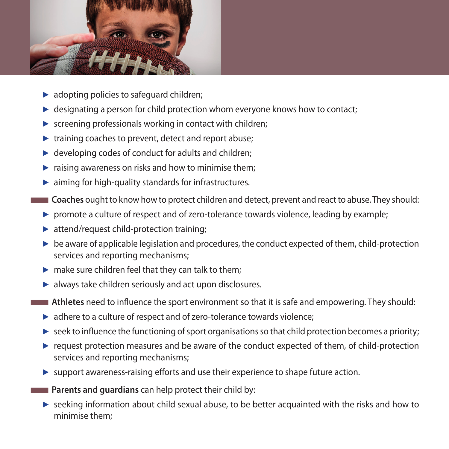

- ► adopting policies to safeguard children;
- ► designating a person for child protection whom everyone knows how to contact;
- ► screening professionals working in contact with children;
- ► training coaches to prevent, detect and report abuse;
- $\blacktriangleright$  developing codes of conduct for adults and children;
- ► raising awareness on risks and how to minimise them;
- ► aiming for high-quality standards for infrastructures.
- ■**Coaches** ought to know how to protect children and detect, prevent and react to abuse. They should:
- ► promote a culture of respect and of zero-tolerance towards violence, leading by example;
- ► attend/request child-protection training;
- ► be aware of applicable legislation and procedures, the conduct expected of them, child-protection services and reporting mechanisms;
- $\blacktriangleright$  make sure children feel that they can talk to them;
- ► always take children seriously and act upon disclosures.
- **Athletes** need to influence the sport environment so that it is safe and empowering. They should:
	- ► adhere to a culture of respect and of zero-tolerance towards violence;
	- $\triangleright$  seek to influence the functioning of sport organisations so that child protection becomes a priority;
	- ► request protection measures and be aware of the conduct expected of them, of child-protection services and reporting mechanisms;
	- ► support awareness-raising efforts and use their experience to shape future action.
- **Parents and quardians** can help protect their child by:
	- ► seeking information about child sexual abuse, to be better acquainted with the risks and how to minimise them;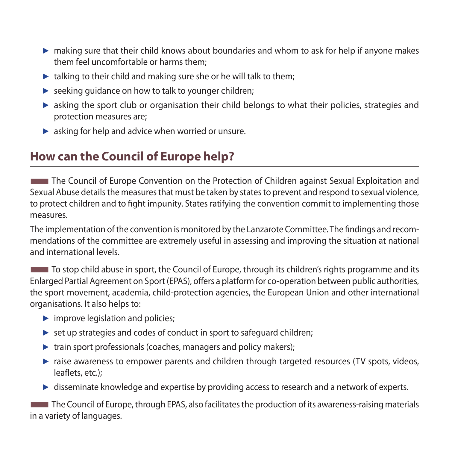- ► making sure that their child knows about boundaries and whom to ask for help if anyone makes them feel uncomfortable or harms them;
- $\blacktriangleright$  talking to their child and making sure she or he will talk to them;
- ► seeking guidance on how to talk to younger children;
- ► asking the sport club or organisation their child belongs to what their policies, strategies and protection measures are;
- ► asking for help and advice when worried or unsure.

## **How can the Council of Europe help?**

**The Council of Europe Convention on the Protection of Children against Sexual Exploitation and** Sexual Abuse details the measures that must be taken by states to prevent and respond to sexual violence, to protect children and to fight impunity. States ratifying the convention commit to implementing those measures.

The implementation of the convention is monitored by the Lanzarote Committee. The findings and recommendations of the committee are extremely useful in assessing and improving the situation at national and international levels.

■To stop child abuse in sport, the Council of Europe, through its children's rights programme and its Enlarged Partial Agreement on Sport (EPAS), offers a platform for co-operation between public authorities, the sport movement, academia, child-protection agencies, the European Union and other international organisations. It also helps to:

- ► improve legislation and policies;
- ► set up strategies and codes of conduct in sport to safeguard children;
- ► train sport professionals (coaches, managers and policy makers);
- ► raise awareness to empower parents and children through targeted resources (TV spots, videos, leaflets, etc.);
- ► disseminate knowledge and expertise by providing access to research and a network of experts.

**The Council of Europe, through EPAS, also facilitates the production of its awareness-raising materials** in a variety of languages.